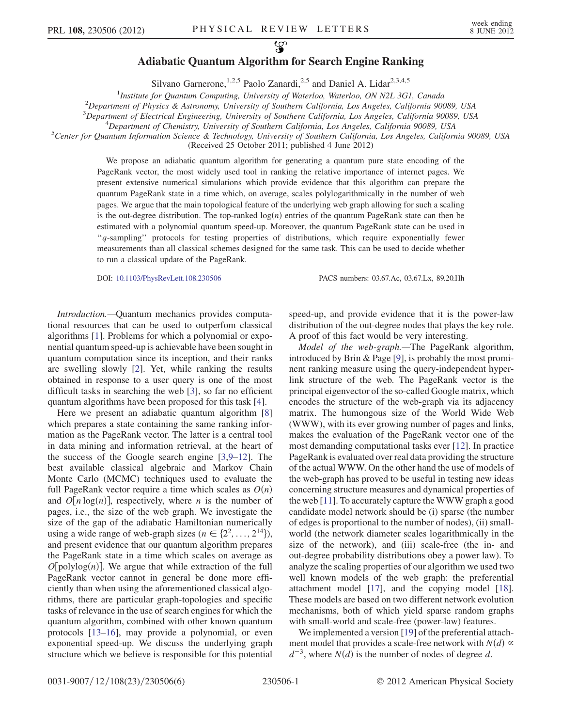## $\mathcal{L}$ Adiabatic Quantum Algorithm for Search Engine Ranking

Silvano Garnerone,<sup>1,2,5</sup> Paolo Zanardi,<sup>2,5</sup> and Daniel A. Lidar<sup>2,3,4,5</sup>

<sup>1</sup>Institute for Quantum Computing, University of Waterloo, Waterloo, ON N2L 3G1, Canada<sup>2</sup> Department of Physics & Astronomy University of Southern California Los Angeles, California 900

 $^{2}$ Department of Physics & Astronomy, University of Southern California, Los Angeles, California 90089, USA

<sup>3</sup>Department of Electrical Engineering, University of Southern California, Los Angeles, California 90089, USA 4<br><sup>4</sup> Department of Chamistry, University of Southern California, Los Angeles, California 90089, USA

 $^{4}$ Department of Chemistry, University of Southern California, Los Angeles, California 90089, USA

 ${}^5$ Center for Quantum Information Science & Technology, University of Southern California, Los Angeles, California 90089, USA (Received 25 October 2011; published 4 June 2012)

> We propose an adiabatic quantum algorithm for generating a quantum pure state encoding of the PageRank vector, the most widely used tool in ranking the relative importance of internet pages. We present extensive numerical simulations which provide evidence that this algorithm can prepare the quantum PageRank state in a time which, on average, scales polylogarithmically in the number of web pages. We argue that the main topological feature of the underlying web graph allowing for such a scaling is the out-degree distribution. The top-ranked  $log(n)$  entries of the quantum PageRank state can then be estimated with a polynomial quantum speed-up. Moreover, the quantum PageRank state can be used in ''q-sampling'' protocols for testing properties of distributions, which require exponentially fewer measurements than all classical schemes designed for the same task. This can be used to decide whether to run a classical update of the PageRank.

DOI: [10.1103/PhysRevLett.108.230506](http://dx.doi.org/10.1103/PhysRevLett.108.230506) PACS numbers: 03.67.Ac, 03.67.Lx, 89.20.Hh

Introduction.—Quantum mechanics provides computational resources that can be used to outperfom classical algorithms [\[1](#page-4-0)]. Problems for which a polynomial or exponential quantum speed-up is achievable have been sought in quantum computation since its inception, and their ranks are swelling slowly [\[2](#page-4-1)]. Yet, while ranking the results obtained in response to a user query is one of the most difficult tasks in searching the web [\[3](#page-4-2)], so far no efficient quantum algorithms have been proposed for this task [[4](#page-4-3)].

Here we present an adiabatic quantum algorithm [\[8\]](#page-4-4) which prepares a state containing the same ranking information as the PageRank vector. The latter is a central tool in data mining and information retrieval, at the heart of the success of the Google search engine [[3](#page-4-2),[9](#page-4-5)[–12\]](#page-4-6). The best available classical algebraic and Markov Chain Monte Carlo (MCMC) techniques used to evaluate the full PageRank vector require a time which scales as  $O(n)$ and  $O[n \log(n)]$ , respectively, where *n* is the number of pages, i.e., the size of the web graph. We investigate the size of the gap of the adiabatic Hamiltonian numerically using a wide range of web-graph sizes ( $n \in \{2^2, \ldots, 2^{14}\}\)$ , and present evidence that our quantum algorithm prepares the PageRank state in a time which scales on average as  $O[polylog(n)]$ . We argue that while extraction of the full PageRank vector cannot in general be done more efficiently than when using the aforementioned classical algorithms, there are particular graph-topologies and specific tasks of relevance in the use of search engines for which the quantum algorithm, combined with other known quantum protocols [[13](#page-4-7)[–16\]](#page-4-8), may provide a polynomial, or even exponential speed-up. We discuss the underlying graph structure which we believe is responsible for this potential

speed-up, and provide evidence that it is the power-law distribution of the out-degree nodes that plays the key role. A proof of this fact would be very interesting.

Model of the web-graph.—The PageRank algorithm, introduced by Brin & Page [[9\]](#page-4-5), is probably the most prominent ranking measure using the query-independent hyperlink structure of the web. The PageRank vector is the principal eigenvector of the so-called Google matrix, which encodes the structure of the web-graph via its adjacency matrix. The humongous size of the World Wide Web (WWW), with its ever growing number of pages and links, makes the evaluation of the PageRank vector one of the most demanding computational tasks ever [[12\]](#page-4-6). In practice PageRank is evaluated over real data providing the structure of the actual WWW. On the other hand the use of models of the web-graph has proved to be useful in testing new ideas concerning structure measures and dynamical properties of the web [\[11\]](#page-4-9). To accurately capture the WWW graph a good candidate model network should be (i) sparse (the number of edges is proportional to the number of nodes), (ii) smallworld (the network diameter scales logarithmically in the size of the network), and (iii) scale-free (the in- and out-degree probability distributions obey a power law). To analyze the scaling properties of our algorithm we used two well known models of the web graph: the preferential attachment model [[17](#page-4-10)], and the copying model [[18\]](#page-4-11). These models are based on two different network evolution mechanisms, both of which yield sparse random graphs with small-world and scale-free (power-law) features.

We implemented a version [\[19\]](#page-4-12) of the preferential attachment model that provides a scale-free network with  $N(d) \propto$  $d^{-3}$ , where  $N(d)$  is the number of nodes of degree d.

0031-9007/12/108(23)/230506(6) 230506-1 © 2012 American Physical Society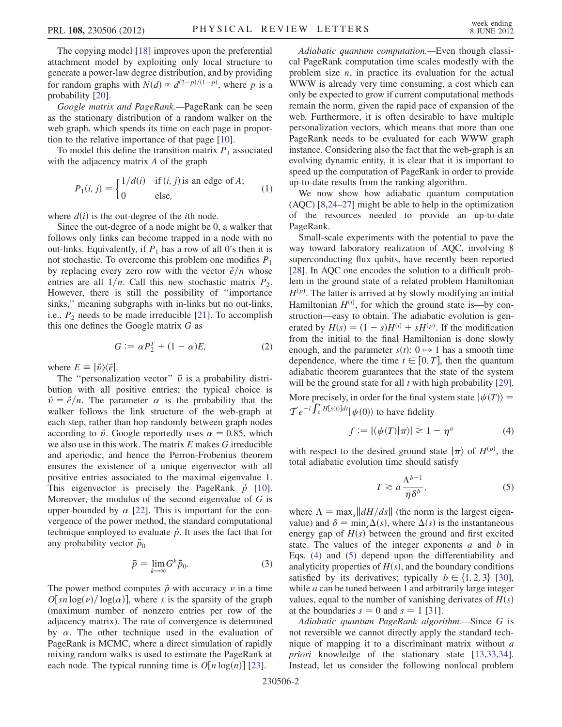The copying model [[18](#page-4-11)] improves upon the preferential attachment model by exploiting only local structure to generate a power-law degree distribution, and by providing for random graphs with  $N(d) \propto d^{(2-p)/(1-p)}$ , where p is a probability [20] probability [[20\]](#page-4-13).

Google matrix and PageRank.—PageRank can be seen as the stationary distribution of a random walker on the web graph, which spends its time on each page in proportion to the relative importance of that page [[10](#page-4-14)].

To model this define the transition matrix  $P_1$  associated with the adjacency matrix A of the graph

$$
P_1(i, j) = \begin{cases} 1/d(i) & \text{if } (i, j) \text{ is an edge of } A; \\ 0 & \text{else,} \end{cases}
$$
 (1)

where  $d(i)$  is the out-degree of the *i*th node.

Since the out-degree of a node might be 0, a walker that follows only links can become trapped in a node with no out-links. Equivalently, if  $P_1$  has a row of all 0's then it is not stochastic. To overcome this problem one modifies  $P_1$ by replacing every zero row with the vector  $\vec{e}/n$  whose entries are all  $1/n$ . Call this new stochastic matrix  $P_2$ . However, there is still the possibility of ''importance sinks," meaning subgraphs with in-links but no out-links, i.e.,  $P_2$  needs to be made irreducible [\[21\]](#page-4-15). To accomplish this one defines the Google matrix G as

$$
G := \alpha P_2^T + (1 - \alpha)E,\tag{2}
$$

where  $E = |\vec{v}\rangle\langle \vec{e}|.$ 

The "personalization vector"  $\vec{v}$  is a probability distribution with all positive entries; the typical choice is  $\vec{v} = \vec{e}/n$ . The parameter  $\alpha$  is the probability that the walker follows the link structure of the web-graph at each step, rather than hop randomly between graph nodes according to  $\vec{v}$ . Google reportedly uses  $\alpha = 0.85$ , which we also use in this work. The matrix  $E$  makes  $G$  irreducible and aperiodic, and hence the Perron-Frobenius theorem ensures the existence of a unique eigenvector with all positive entries associated to the maximal eigenvalue 1. This eigenvector is precisely the PageRank  $\vec{p}$  [\[10\]](#page-4-14). Moreover, the modulus of the second eigenvalue of  $G$  is upper-bounded by  $\alpha$  [[22](#page-4-16)]. This is important for the convergence of the power method, the standard computational technique employed to evaluate  $\vec{p}$ . It uses the fact that for any probability vector  $\vec{p}_0$ 

$$
\vec{p} = \lim_{k \to \infty} G^k \vec{p}_0. \tag{3}
$$

The power method computes  $\vec{p}$  with accuracy  $\nu$  in a time  $O[sn \log(\nu) / \log(\alpha)]$ , where s is the sparsity of the graph (maximum number of nonzero entries ner row of the (maximum number of nonzero entries per row of the adjacency matrix). The rate of convergence is determined by  $\alpha$ . The other technique used in the evaluation of PageRank is MCMC, where a direct simulation of rapidly mixing random walks is used to estimate the PageRank at each node. The typical running time is  $O[n \log(n)]$  [[23](#page-4-17)].

Adiabatic quantum computation.—Even though classical PageRank computation time scales modestly with the problem size  $n$ , in practice its evaluation for the actual WWW is already very time consuming, a cost which can only be expected to grow if current computational methods remain the norm, given the rapid pace of expansion of the web. Furthermore, it is often desirable to have multiple personalization vectors, which means that more than one PageRank needs to be evaluated for each WWW graph instance. Considering also the fact that the web-graph is an evolving dynamic entity, it is clear that it is important to speed up the computation of PageRank in order to provide up-to-date results from the ranking algorithm.

We now show how adiabatic quantum computation (AQC) [\[8,](#page-4-4)[24–](#page-4-18)[27](#page-4-19)] might be able to help in the optimization of the resources needed to provide an up-to-date PageRank.

Small-scale experiments with the potential to pave the way toward laboratory realization of AQC, involving 8 superconducting flux qubits, have recently been reported [\[28\]](#page-4-20). In AQC one encodes the solution to a difficult problem in the ground state of a related problem Hamiltonian  $H^{(p)}$ . The latter is arrived at by slowly modifying an initial Hamiltonian  $H^{(i)}$ , for which the ground state is—by construction—easy to obtain. The adiabatic evolution is generated by  $H(s) = (1 - s)H^{(i)} + sH^{(p)}$ . If the modification<br>from the initial to the final Hamiltonian is done slowly from the initial to the final Hamiltonian is done slowly enough, and the parameter  $s(t)$ :  $0 \rightarrow 1$  has a smooth time dependence, where the time  $t \in [0, T]$ , then the quantum adiabatic theorem guarantees that the state of the system will be the ground state for all  $t$  with high probability [[29\]](#page-4-21).

<span id="page-1-0"></span>More precisely, in order for the final system state  $|\psi(T)\rangle =$  $\mathcal{T}e^{-i\int_0^T H[s(t)]dt}|\psi(0)\rangle$  to have fidelity

$$
f := |\langle \psi(T) | \pi \rangle| \gtrsim 1 - \eta^a \tag{4}
$$

<span id="page-1-1"></span>with respect to the desired ground state  $|\pi\rangle$  of  $H^{(p)}$ , the total adiabatic evolution time should satisfy total adiabatic evolution time should satisfy

$$
T \ge a \frac{\Lambda^{b-1}}{\eta \delta^b},\tag{5}
$$

where  $\Lambda = \max_{s} ||dH/ds||$  (the norm is the largest eigenvalue) and  $\delta = \min_s \Delta(s)$ , where  $\Delta(s)$  is the instantaneous energy gap of  $H(s)$  between the ground and first excited energy gap of  $H(s)$  between the ground and first excited state. The values of the integer exponents  $a$  and  $b$  in Eqs. [\(4](#page-1-0)) and ([5](#page-1-1)) depend upon the differentiability and analyticity properties of  $H(s)$ , and the boundary conditions satisfied by its derivatives; typically  $b \in \{1, 2, 3\}$  [[30\]](#page-4-22), while *a* can be tuned between 1 and arbitrarily large integer values, equal to the number of vanishing derivates of  $H(s)$ at the boundaries  $s = 0$  and  $s = 1$  [[31](#page-4-23)].

Adiabatic quantum PageRank algorithm.—Since G is not reversible we cannot directly apply the standard technique of mapping it to a discriminant matrix without a priori knowledge of the stationary state [\[13](#page-4-7)[,33,](#page-4-24)[34\]](#page-4-25). Instead, let us consider the following nonlocal problem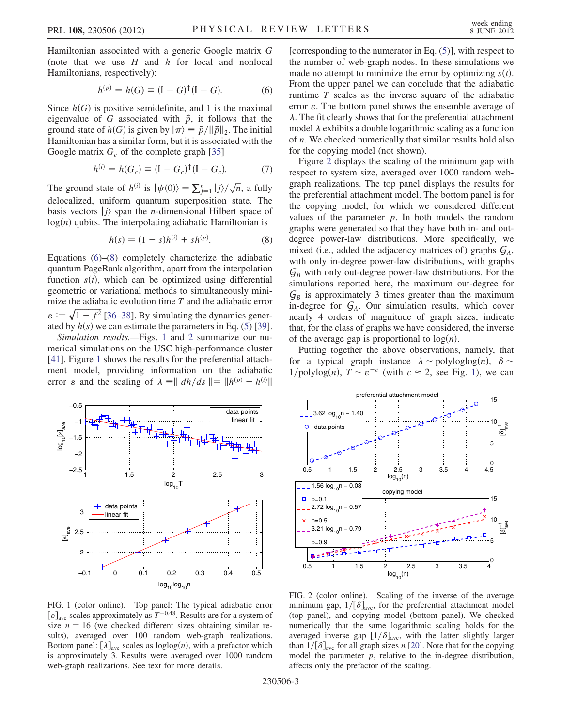<span id="page-2-0"></span>Hamiltonian associated with a generic Google matrix G (note that we use  $H$  and  $h$  for local and nonlocal Hamiltonians, respectively):

$$
h^{(p)} = h(G) \equiv (\mathbb{I} - G)^{\dagger} (\mathbb{I} - G). \tag{6}
$$

Since  $h(G)$  is positive semidefinite, and 1 is the maximal eigenvalue of G associated with  $\vec{p}$ , it follows that the ground state of  $h(G)$  is given by  $|\pi\rangle \equiv \vec{p}/\|\vec{p}\|_2$ . The initial Hamiltonian has a similar form, but it is associated with the Google matrix  $G_c$  of the complete graph [[35](#page-4-26)]

$$
h^{(i)} = h(G_c) \equiv (\mathbb{I} - G_c)^{\dagger} (\mathbb{I} - G_c). \tag{7}
$$

The ground state of  $h^{(i)}$  is  $|\psi(0)\rangle = \sum_{j=1}^{n} |j\rangle/\sqrt{n}$ , a fully delegating uniform quantum superposition state. The delocalized, uniform quantum superposition state. The basis vectors  $|j\rangle$  span the *n*-dimensional Hilbert space of  $log(n)$  qubits. The interpolating adiabatic Hamiltonian is

$$
h(s) = (1 - s)h^{(i)} + sh^{(p)}.
$$
 (8)

<span id="page-2-1"></span>Equations [\(6\)](#page-2-0)–([8](#page-2-1)) completely characterize the adiabatic quantum PageRank algorithm, apart from the interpolation function  $s(t)$ , which can be optimized using differential geometric or variational methods to simultaneously minimize the adiabatic evolution time  $T$  and the adiabatic error  $\varepsilon := \sqrt{1-f^2}$  [[36](#page-4-27)[–38\]](#page-4-28). By simulating the dynamics generated by  $h(s)$  we can estimate the parameters in Eq. (5) [39] ated by  $h(s)$  we can estimate the parameters in Eq. [\(5](#page-1-1)) [[39\]](#page-4-29).<br>Simulation results —Figs. 1 and 2 summarize our nu-

Simulation results.—Figs. [1](#page-2-2) and [2](#page-2-3) summarize our numerical simulations on the USC high-performance cluster [\[41\]](#page-4-30). Figure [1](#page-2-2) shows the results for the preferential attachment model, providing information on the adiabatic error  $\varepsilon$  and the scaling of  $\lambda = || dh/ds || = ||h^{(p)} - h^{(i)}||$ 

<span id="page-2-2"></span>

FIG. 1 (color online). Top panel: The typical adiabatic error  $[\varepsilon]_{\text{ave}}$  scales approximately as  $T^{-0.48}$ . Results are for a system of size  $n = 16$  (we checked different sizes obtaining similar resize  $n = 16$  (we checked different sizes obtaining similar results), averaged over 100 random web-graph realizations. Bottom panel:  $[\lambda]_{ave}$  scales as loglog $(n)$ , with a prefactor which is approximately 3. Results were averaged over 1000 random web-graph realizations. See text for more details.

[corresponding to the numerator in Eq.  $(5)$  $(5)$  $(5)$ ], with respect to the number of web-graph nodes. In these simulations we made no attempt to minimize the error by optimizing  $s(t)$ . From the upper panel we can conclude that the adiabatic runtime T scales as the inverse square of the adiabatic error  $\varepsilon$ . The bottom panel shows the ensemble average of  $\lambda$ . The fit clearly shows that for the preferential attachment model  $\lambda$  exhibits a double logarithmic scaling as a function of n. We checked numerically that similar results hold also for the copying model (not shown).

Figure [2](#page-2-3) displays the scaling of the minimum gap with respect to system size, averaged over 1000 random webgraph realizations. The top panel displays the results for the preferential attachment model. The bottom panel is for the copying model, for which we considered different values of the parameter  $p$ . In both models the random graphs were generated so that they have both in- and outdegree power-law distributions. More specifically, we mixed (i.e., added the adjacency matrices of) graphs  $G_A$ , with only in-degree power-law distributions, with graphs  $G_B$  with only out-degree power-law distributions. For the simulations reported here, the maximum out-degree for  $G_B$  is approximately 3 times greater than the maximum in-degree for  $G_A$ . Our simulation results, which cover nearly 4 orders of magnitude of graph sizes, indicate that, for the class of graphs we have considered, the inverse of the average gap is proportional to  $log(n)$ .

Putting together the above observations, namely, that for a typical graph instance  $\lambda \sim \text{polyloglog}(n)$ ,  $\delta \sim$  $1/\text{polylog}(n)$ ,  $T \sim \varepsilon^{-c}$  (with  $c \approx 2$ , see Fig. [1\)](#page-2-2), we can

<span id="page-2-3"></span>

FIG. 2 (color online). Scaling of the inverse of the average minimum gap,  $1/[\delta]_{\text{ave}}$ , for the preferential attachment model (top panel), and copying model (bottom panel). We checked numerically that the same logarithmic scaling holds for the averaged inverse gap  $[1/\delta]_{ave}$ , with the latter slightly larger than  $1/[\delta]_{\text{ave}}$  for all graph sizes n [[20](#page-4-13)]. Note that for the copying model the parameter  $p$ , relative to the in-degree distribution, affects only the prefactor of the scaling.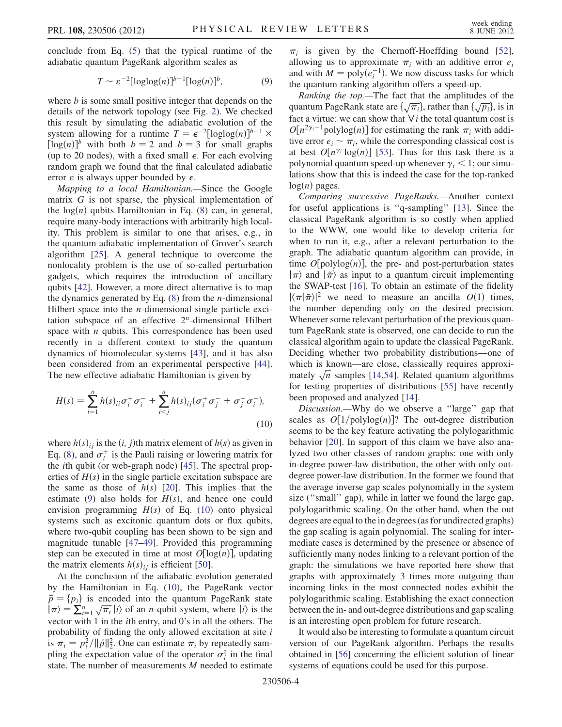<span id="page-3-0"></span>conclude from Eq. [\(5](#page-1-1)) that the typical runtime of the adiabatic quantum PageRank algorithm scales as

$$
T \sim \varepsilon^{-2} [\log \log(n)]^{b-1} [\log(n)]^b, \tag{9}
$$

where  $b$  is some small positive integer that depends on the details of the network topology (see Fig. [2\)](#page-2-3). We checked this result by simulating the adiabatic evolution of the system allowing for a runtime  $T = \epsilon^{-2} [\log \log(n)]^{b-1}$ <br>[log(n)]<sup>b</sup> with both  $b = 2$  and  $b = 3$  for small gra system anowing for a funtile  $I - \epsilon$  -[log[og(n)]<sup>3</sup>  $\land$ <br>[log(n)]<sup>b</sup> with both  $b = 2$  and  $b = 3$  for small graphs<br>(up to 20 nodes) with a fixed small  $\epsilon$ . For each evolving (up to 20 nodes), with a fixed small  $\epsilon$ . For each evolving random graph we found that the final calculated adiabatic error  $\varepsilon$  is always upper bounded by  $\epsilon$ .

Mapping to a local Hamiltonian.—Since the Google matrix G is not sparse, the physical implementation of the  $log(n)$  qubits Hamiltonian in Eq. ([8](#page-2-1)) can, in general, require many-body interactions with arbitrarily high locality. This problem is similar to one that arises, e.g., in the quantum adiabatic implementation of Grover's search algorithm [\[25\]](#page-4-31). A general technique to overcome the nonlocality problem is the use of so-called perturbation gadgets, which requires the introduction of ancillary qubits [[42](#page-4-32)]. However, a more direct alternative is to map the dynamics generated by Eq.  $(8)$  $(8)$  $(8)$  from the *n*-dimensional Hilbert space into the *n*-dimensional single particle excitation subspace of an effective  $2<sup>n</sup>$ -dimensional Hilbert space with  $n$  qubits. This correspondence has been used recently in a different context to study the quantum dynamics of biomolecular systems [[43](#page-4-33)], and it has also been considered from an experimental perspective [[44\]](#page-5-0). The new effective adiabatic Hamiltonian is given by

<span id="page-3-1"></span>
$$
H(s) = \sum_{i=1}^{n} h(s)_{ii} \sigma_i^+ \sigma_i^- + \sum_{i < j}^{n} h(s)_{ij} (\sigma_i^+ \sigma_j^- + \sigma_j^+ \sigma_i^-),
$$
\n(10)

where  $h(s)_{ij}$  is the  $(i, j)$ th matrix element of  $h(s)$  as given in Eq. ([8\)](#page-2-1), and  $\sigma_i^{\pm}$  is the Pauli raising or lowering matrix for the ith qubit (or web-graph node) [[45](#page-5-1)]. The spectral properties of  $H(s)$  in the single particle excitation subspace are the same as those of  $h(s)$  [\[20](#page-4-13)]. This implies that the estimate ([9\)](#page-3-0) also holds for  $H(s)$ , and hence one could envision programming  $H(s)$  of Eq. [\(10\)](#page-3-1) onto physical systems such as excitonic quantum dots or flux qubits, where two-qubit coupling has been shown to be sign and magnitude tunable [\[47–](#page-5-2)[49\]](#page-5-3). Provided this programming step can be executed in time at most  $O[\log(n)]$ , updating the matrix elements  $h(s)_{ij}$  is efficient [[50](#page-5-4)].

At the conclusion of the adiabatic evolution generated by the Hamiltonian in Eq. [\(10\)](#page-3-1), the PageRank vector  $\vec{p} = {p_i}$  is encoded into the quantum PageRank state  $\langle \nabla \rangle = \sum_{i=1}^{n} \sqrt{\pi_i} |i\rangle$  of an *n*-qubit system, where  $|i\rangle$  is the vector with 1 in the *i*th entry and 0's in all the others. The vector with 1 in the ith entry, and 0's in all the others. The probability of finding the only allowed excitation at site  $i$ is  $\pi_i = p_i^2 / ||\vec{p}||_2^2$ . One can estimate  $\pi_i$  by repeatedly sam-<br>pling the expectation value of the operator  $\sigma_i^2$  in the final pling the expectation value of the operator  $\sigma_i^z$  in the final state. The number of measurements M needed to estimate

 $\pi_i$  is given by the Chernoff-Hoeffding bound [[52\]](#page-5-5), allowing us to approximate  $\pi_i$  with an additive error  $e_i$ and with  $M = \text{poly}(e_i^{-1})$ . We now discuss tasks for which<br>the quantum ranking algorithm offers a speed-up the quantum ranking algorithm offers a speed-up.

Ranking the top.—The fact that the amplitudes of the quantum PageRank state are  $\{\sqrt{\pi_i}\}\$ , rather than  $\{\sqrt{p_i}\}\$ , is in fact a virtue: we can show that  $\forall i$  the total quantum cost is fact a virtue: we can show that  $\forall i$  the total quantum cost is  $O[n^{2\gamma_i-1} \text{polylog}(n)]$  for estimating the rank  $\pi_i$  with additive error  $e_i \approx \pi$ , while the corresponding classical cost is tive error  $e_i \sim \pi_i$ , while the corresponding classical cost is at best  $O[n^{\gamma_i} \log(n)]$  [[53](#page-5-6)]. Thus for this task there is a polynomial quantum speed-up whenever  $\gamma_i$  < 1; our simulations show that this is indeed the case for the top-ranked  $log(n)$  pages.

Comparing successive PageRanks.—Another context for useful applications is ''q-sampling'' [[13](#page-4-7)]. Since the classical PageRank algorithm is so costly when applied to the WWW, one would like to develop criteria for when to run it, e.g., after a relevant perturbation to the graph. The adiabatic quantum algorithm can provide, in time  $O[polylog(n)]$ , the pre- and post-perturbation states  $\ket{\pi}$  and  $\ket{\tilde{\pi}}$  as input to a quantum circuit implementing the SWAP-test [\[16\]](#page-4-8). To obtain an estimate of the fidelity  $|\langle \pi | \tilde{\pi} \rangle|^2$  we need to measure an ancilla  $O(1)$  times, the number depending only on the desired precision. Whenever some relevant perturbation of the previous quantum PageRank state is observed, one can decide to run the classical algorithm again to update the classical PageRank. Deciding whether two probability distributions—one of which is known—are close, classically requires approximately  $\sqrt{n}$  samples [\[14](#page-4-34)[,54\]](#page-5-7). Related quantum algorithms for testing properties of distributions [[55](#page-5-8)] have recently been proposed and analyzed [\[14\]](#page-4-34).

Discussion.—Why do we observe a ''large'' gap that scales as  $O[1/polylog(n)]$ ? The out-degree distribution seems to be the key feature activating the polylogarithmic behavior [\[20\]](#page-4-13). In support of this claim we have also analyzed two other classes of random graphs: one with only in-degree power-law distribution, the other with only outdegree power-law distribution. In the former we found that the average inverse gap scales polynomially in the system size ("small" gap), while in latter we found the large gap, polylogarithmic scaling. On the other hand, when the out degrees are equal to the in degrees (as for undirected graphs) the gap scaling is again polynomial. The scaling for intermediate cases is determined by the presence or absence of sufficiently many nodes linking to a relevant portion of the graph: the simulations we have reported here show that graphs with approximately 3 times more outgoing than incoming links in the most connected nodes exhibit the polylogarithmic scaling. Establishing the exact connection between the in- and out-degree distributions and gap scaling is an interesting open problem for future research.

It would also be interesting to formulate a quantum circuit version of our PageRank algorithm. Perhaps the results obtained in [[56\]](#page-5-9) concerning the efficient solution of linear systems of equations could be used for this purpose.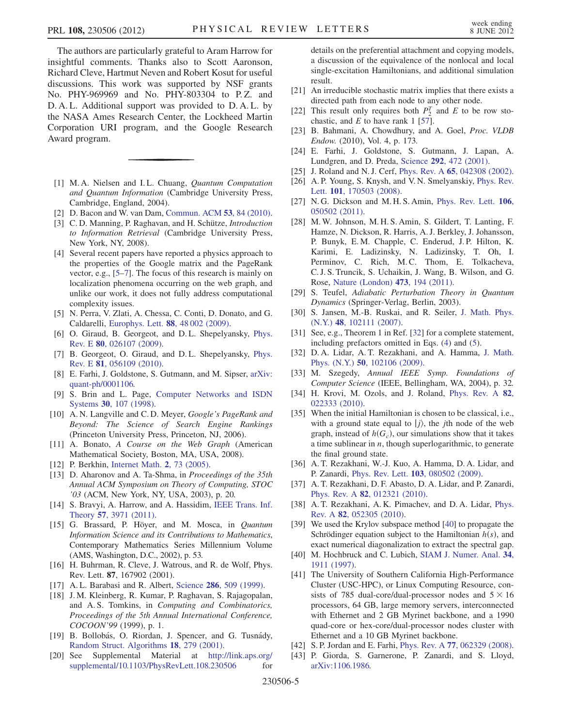The authors are particularly grateful to Aram Harrow for insightful comments. Thanks also to Scott Aaronson, Richard Cleve, Hartmut Neven and Robert Kosut for useful discussions. This work was supported by NSF grants No. PHY-969969 and No. PHY-803304 to P. Z. and D. A. L. Additional support was provided to D. A. L. by the NASA Ames Research Center, the Lockheed Martin Corporation URI program, and the Google Research Award program.

- <span id="page-4-0"></span>[1] M.A. Nielsen and I.L. Chuang, Quantum Computation and Quantum Information (Cambridge University Press, Cambridge, England, 2004).
- <span id="page-4-2"></span><span id="page-4-1"></span>[2] D. Bacon and W. van Dam, [Commun. ACM](http://dx.doi.org/10.1145/1646353.1646375) 53, 84 (2010).
- [3] C.D. Manning, P. Raghavan, and H. Schütze, *Introduction* to Information Retrieval (Cambridge University Press, New York, NY, 2008).
- <span id="page-4-3"></span>[4] Several recent papers have reported a physics approach to the properties of the Google matrix and the PageRank vector, e.g., [[5](#page-4-35)[–7](#page-4-36)]. The focus of this research is mainly on localization phenomena occurring on the web graph, and unlike our work, it does not fully address computational complexity issues.
- <span id="page-4-35"></span>[5] N. Perra, V. Zlati, A. Chessa, C. Conti, D. Donato, and G. Caldarelli, Europhys. Lett. 88[, 48 002 \(2009\).](http://dx.doi.org/10.1209/0295-5075/88/48002)
- [6] O. Giraud, B. Georgeot, and D.L. Shepelyansky, [Phys.](http://dx.doi.org/10.1103/PhysRevE.80.026107) Rev. E 80[, 026107 \(2009\)](http://dx.doi.org/10.1103/PhysRevE.80.026107).
- <span id="page-4-36"></span>[7] B. Georgeot, O. Giraud, and D. L. Shepelyansky, [Phys.](http://dx.doi.org/10.1103/PhysRevE.81.056109) Rev. E 81[, 056109 \(2010\)](http://dx.doi.org/10.1103/PhysRevE.81.056109).
- <span id="page-4-4"></span>[8] E. Farhi, J. Goldstone, S. Gutmann, and M. Sipser, [arXiv:](http://arXiv.org/abs/quant-ph/0001106) [quant-ph/0001106.](http://arXiv.org/abs/quant-ph/0001106)
- <span id="page-4-5"></span>[9] S. Brin and L. Page, [Computer Networks and ISDN](http://dx.doi.org/10.1016/S0169-7552(98)00110-X) Systems 30[, 107 \(1998\).](http://dx.doi.org/10.1016/S0169-7552(98)00110-X)
- <span id="page-4-14"></span>[10] A. N. Langville and C. D. Meyer, *Google's PageRank and* Beyond: The Science of Search Engine Rankings (Princeton University Press, Princeton, NJ, 2006).
- <span id="page-4-9"></span>[11] A. Bonato, A Course on the Web Graph (American Mathematical Society, Boston, MA, USA, 2008).
- <span id="page-4-7"></span><span id="page-4-6"></span>[12] P. Berkhin, [Internet Math.](http://dx.doi.org/10.1080/15427951.2005.10129098) 2, 73 (2005).
- [13] D. Aharonov and A. Ta-Shma, in Proceedings of the 35th Annual ACM Symposium on Theory of Computing, STOC '03 (ACM, New York, NY, USA, 2003), p. 20.
- <span id="page-4-34"></span>[14] S. Bravyi, A. Harrow, and A. Hassidim, [IEEE Trans. Inf.](http://dx.doi.org/10.1109/TIT.2011.2134250) Theory 57[, 3971 \(2011\)](http://dx.doi.org/10.1109/TIT.2011.2134250).
- [15] G. Brassard, P. Höyer, and M. Mosca, in Quantum Information Science and its Contributions to Mathematics, Contemporary Mathematics Series Millennium Volume (AMS, Washington, D.C., 2002), p. 53.
- <span id="page-4-8"></span>[16] H. Buhrman, R. Cleve, J. Watrous, and R. de Wolf, Phys. Rev. Lett. 87, 167902 (2001).
- <span id="page-4-11"></span><span id="page-4-10"></span>[17] A.L. Barabasi and R. Albert, Science 286[, 509 \(1999\).](http://dx.doi.org/10.1126/science.286.5439.509)
- [18] J. M. Kleinberg, R. Kumar, P. Raghavan, S. Rajagopalan, and A. S. Tomkins, in Computing and Combinatorics, Proceedings of the 5th Annual International Conference, COCOON'99 (1999), p. 1.
- <span id="page-4-12"></span>[19] B. Bollobás, O. Riordan, J. Spencer, and G. Tusnády, [Random Struct. Algorithms](http://dx.doi.org/10.1002/rsa.1009) 18, 279 (2001).
- <span id="page-4-13"></span>[20] See Supplemental Material at [http://link.aps.org/](http://link.aps.org/supplemental/10.1103/PhysRevLett.108.230506) [supplemental/10.1103/PhysRevLett.108.230506](http://link.aps.org/supplemental/10.1103/PhysRevLett.108.230506) for

details on the preferential attachment and copying models, a discussion of the equivalence of the nonlocal and local single-excitation Hamiltonians, and additional simulation result.

- <span id="page-4-15"></span>[21] An irreducible stochastic matrix implies that there exists a directed path from each node to any other node.
- <span id="page-4-16"></span>[22] This result only requires both  $P_2^T$  and E to be row sto-<br>chastic and E to have rank 1.1571 chastic, and  $E$  to have rank 1 [[57](#page-5-10)].
- <span id="page-4-17"></span>[23] B. Bahmani, A. Chowdhury, and A. Goel, Proc. VLDB Endow. (2010), Vol. 4, p. 173.
- <span id="page-4-18"></span>[24] E. Farhi, J. Goldstone, S. Gutmann, J. Lapan, A. Lundgren, and D. Preda, Science 292[, 472 \(2001\).](http://dx.doi.org/10.1126/science.1057726)
- <span id="page-4-31"></span>[25] J. Roland and N. J. Cerf, Phys. Rev. A 65[, 042308 \(2002\).](http://dx.doi.org/10.1103/PhysRevA.65.042308)
- [26] A. P. Young, S. Knysh, and V. N. Smelyanskiy, [Phys. Rev.](http://dx.doi.org/10.1103/PhysRevLett.101.170503) Lett. 101[, 170503 \(2008\).](http://dx.doi.org/10.1103/PhysRevLett.101.170503)
- <span id="page-4-19"></span>[27] N. G. Dickson and M. H. S. Amin, [Phys. Rev. Lett.](http://dx.doi.org/10.1103/PhysRevLett.106.050502) 106, [050502 \(2011\).](http://dx.doi.org/10.1103/PhysRevLett.106.050502)
- <span id="page-4-20"></span>[28] M. W. Johnson, M. H. S. Amin, S. Gildert, T. Lanting, F. Hamze, N. Dickson, R. Harris, A. J. Berkley, J. Johansson, P. Bunyk, E. M. Chapple, C. Enderud, J. P. Hilton, K. Karimi, E. Ladizinsky, N. Ladizinsky, T. Oh, I. Perminov, C. Rich, M.C. Thom, E. Tolkacheva, C. J. S. Truncik, S. Uchaikin, J. Wang, B. Wilson, and G. Rose, [Nature \(London\)](http://dx.doi.org/10.1038/nature10012) 473, 194 (2011).
- <span id="page-4-21"></span>[29] S. Teufel, Adiabatic Perturbation Theory in Quantum Dynamics (Springer-Verlag, Berlin, 2003).
- <span id="page-4-22"></span>[30] S. Jansen, M.-B. Ruskai, and R. Seiler, [J. Math. Phys.](http://dx.doi.org/10.1063/1.2798382) (N.Y.) 48[, 102111 \(2007\).](http://dx.doi.org/10.1063/1.2798382)
- <span id="page-4-23"></span>[31] See, e.g., Theorem 1 in Ref. [[32](#page-4-37)] for a complete statement, including prefactors omitted in Eqs. [\(4\)](#page-1-0) and ([5\)](#page-1-1).
- <span id="page-4-37"></span>[32] D. A. Lidar, A. T. Rezakhani, and A. Hamma, [J. Math.](http://dx.doi.org/10.1063/1.3236685) Phys. (N.Y.) 50[, 102106 \(2009\).](http://dx.doi.org/10.1063/1.3236685)
- <span id="page-4-24"></span>[33] M. Szegedy, Annual IEEE Symp. Foundations of Computer Science (IEEE, Bellingham, WA, 2004), p. 32.
- <span id="page-4-25"></span>[34] H. Krovi, M. Ozols, and J. Roland, [Phys. Rev. A](http://dx.doi.org/10.1103/PhysRevA.82.022333) 82, [022333 \(2010\).](http://dx.doi.org/10.1103/PhysRevA.82.022333)
- <span id="page-4-26"></span>[35] When the initial Hamiltonian is chosen to be classical, i.e., with a ground state equal to  $|j\rangle$ , the *j*th node of the web graph, instead of  $h(G_c)$ , our simulations show that it takes a time sublinear in  $n$ , though superlogarithmic, to generate the final ground state.
- <span id="page-4-27"></span>[36] A. T. Rezakhani, W.-J. Kuo, A. Hamma, D. A. Lidar, and P. Zanardi, Phys. Rev. Lett. 103[, 080502 \(2009\)](http://dx.doi.org/10.1103/PhysRevLett.103.080502).
- [37] A. T. Rezakhani, D. F. Abasto, D. A. Lidar, and P. Zanardi, Phys. Rev. A 82[, 012321 \(2010\).](http://dx.doi.org/10.1103/PhysRevA.82.012321)
- <span id="page-4-28"></span>[38] A. T. Rezakhani, A. K. Pimachev, and D. A. Lidar, [Phys.](http://dx.doi.org/10.1103/PhysRevA.82.052305) Rev. A 82[, 052305 \(2010\)](http://dx.doi.org/10.1103/PhysRevA.82.052305).
- <span id="page-4-29"></span>[39] We used the Krylov subspace method [\[40](#page-4-38)] to propagate the Schrödinger equation subject to the Hamiltonian  $h(s)$ , and exact numerical diagonalization to extract the spectral gap.
- <span id="page-4-38"></span>[40] M. Hochbruck and C. Lubich, [SIAM J. Numer. Anal.](http://dx.doi.org/10.1137/S0036142995280572) 34, [1911 \(1997\)](http://dx.doi.org/10.1137/S0036142995280572).
- <span id="page-4-30"></span>[41] The University of Southern California High-Performance Cluster (USC-HPC), or Linux Computing Resource, consists of 785 dual-core/dual-processor nodes and  $5 \times 16$ processors, 64 GB, large memory servers, interconnected with Ethernet and 2 GB Myrinet backbone, and a 1990 quad-core or hex-core/dual-processor nodes cluster with Ethernet and a 10 GB Myrinet backbone.
- <span id="page-4-33"></span><span id="page-4-32"></span>[42] S. P. Jordan and E. Farhi, Phys. Rev. A 77[, 062329 \(2008\).](http://dx.doi.org/10.1103/PhysRevA.77.062329)
- [43] P. Giorda, S. Garnerone, P. Zanardi, and S. Lloyd, [arXiv:1106.1986.](http://arXiv.org/abs/1106.1986)